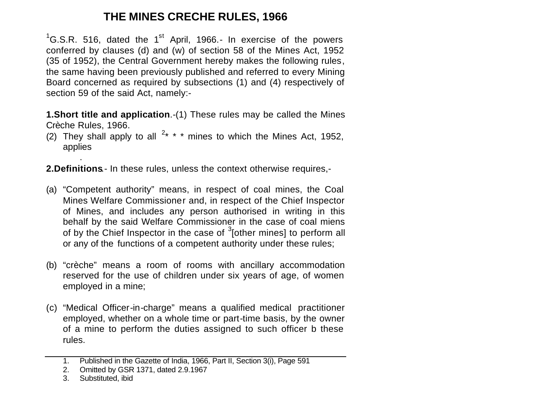# **THE MINES CRECHE RULES, 1966**

 ${}^{1}$ G.S.R. 516, dated the 1<sup>st</sup> April, 1966.- In exercise of the powers conferred by clauses (d) and (w) of section 58 of the Mines Act, 1952 (35 of 1952), the Central Government hereby makes the following rules, the same having been previously published and referred to every Mining Board concerned as required by subsections (1) and (4) respectively of section 59 of the said Act, namely:-

**1.Short title and application**.-(1) These rules may be called the Mines Crèche Rules, 1966.

(2) They shall apply to all  $2* * *$  mines to which the Mines Act, 1952, applies

**2.Definitions**.- In these rules, unless the context otherwise requires,-

- (a) "Competent authority" means, in respect of coal mines, the Coal Mines Welfare Commissioner and, in respect of the Chief Inspector of Mines, and includes any person authorised in writing in this behalf by the said Welfare Commissioner in the case of coal miens of by the Chief Inspector in the case of  $3$ [other mines] to perform all or any of the functions of a competent authority under these rules;
- (b) "crèche" means a room of rooms with ancillary accommodation reserved for the use of children under six years of age, of women employed in a mine;
- (c) "Medical Officer-in-charge" means a qualified medical practitioner employed, whether on a whole time or part-time basis, by the owner of a mine to perform the duties assigned to such officer b these rules.

.

<sup>1.</sup> Published in the Gazette of India, 1966, Part II, Section 3(i), Page 591

<sup>2.</sup> Omitted by GSR 1371, dated 2.9.1967

<sup>3.</sup> Substituted, ibid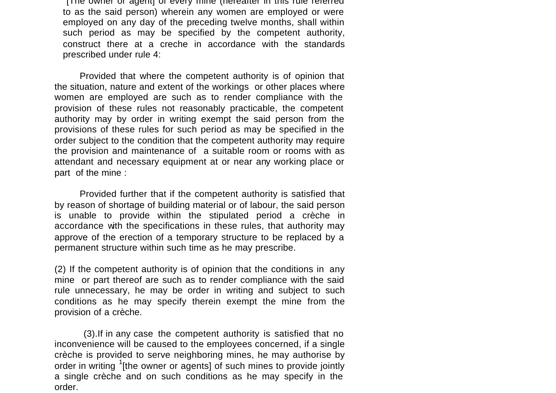[The owner or agent] of every mine (hereafter in this rule referred to as the said person) wherein any women are employed or were employed on any day of the preceding twelve months, shall within such period as may be specified by the competent authority, construct there at a creche in accordance with the standards prescribed under rule 4:

Provided that where the competent authority is of opinion that the situation, nature and extent of the workings or other places where women are employed are such as to render compliance with the provision of these rules not reasonably practicable, the competent authority may by order in writing exempt the said person from the provisions of these rules for such period as may be specified in the order subject to the condition that the competent authority may require the provision and maintenance of a suitable room or rooms with as attendant and necessary equipment at or near any working place or part of the mine :

Provided further that if the competent authority is satisfied that by reason of shortage of building material or of labour, the said person is unable to provide within the stipulated period a crèche in accordance with the specifications in these rules, that authority may approve of the erection of a temporary structure to be replaced by a permanent structure within such time as he may prescribe.

(2) If the competent authority is of opinion that the conditions in any mine or part thereof are such as to render compliance with the said rule unnecessary, he may be order in writing and subject to such conditions as he may specify therein exempt the mine from the provision of a crèche.

 (3).If in any case the competent authority is satisfied that no inconvenience will be caused to the employees concerned, if a single crèche is provided to serve neighboring mines, he may authorise by order in writing <sup>1</sup>[the owner or agents] of such mines to provide jointly a single crèche and on such conditions as he may specify in the order.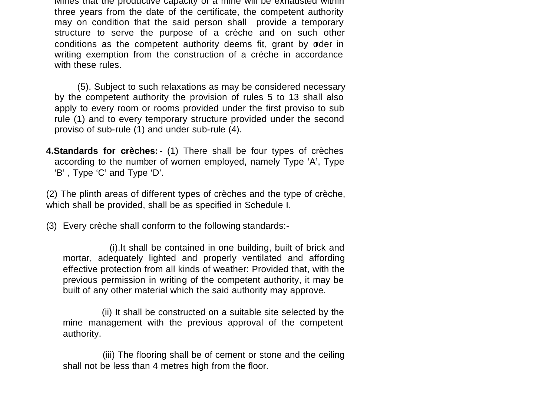Mines that the productive capacity of a mine will be exhausted within three years from the date of the certificate, the competent authority may on condition that the said person shall provide a temporary structure to serve the purpose of a crèche and on such other conditions as the competent authority deems fit, grant by order in writing exemption from the construction of a crèche in accordance with these rules.

 (5). Subject to such relaxations as may be considered necessary by the competent authority the provision of rules 5 to 13 shall also apply to every room or rooms provided under the first proviso to sub rule (1) and to every temporary structure provided under the second proviso of sub-rule (1) and under sub-rule (4).

**4.Standards for crèches:-** (1) There shall be four types of crèches according to the number of women employed, namely Type 'A', Type 'B' , Type 'C' and Type 'D'.

(2) The plinth areas of different types of crèches and the type of crèche, which shall be provided, shall be as specified in Schedule I.

(3) Every crèche shall conform to the following standards:-

 (i).It shall be contained in one building, built of brick and mortar, adequately lighted and properly ventilated and affording effective protection from all kinds of weather: Provided that, with the previous permission in writing of the competent authority, it may be built of any other material which the said authority may approve.

 (ii) It shall be constructed on a suitable site selected by the mine management with the previous approval of the competent authority.

 (iii) The flooring shall be of cement or stone and the ceiling shall not be less than 4 metres high from the floor.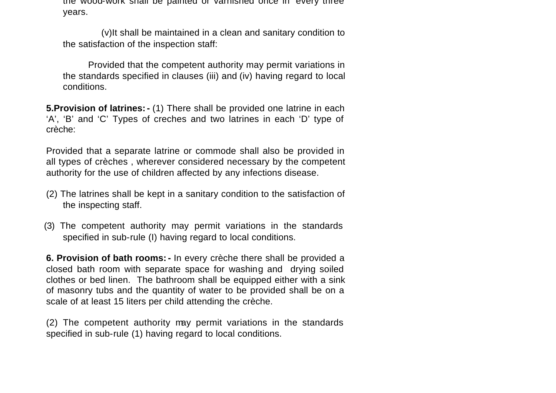the wood-work shall be painted or varnished once in every three years.

 (v)It shall be maintained in a clean and sanitary condition to the satisfaction of the inspection staff:

 Provided that the competent authority may permit variations in the standards specified in clauses (iii) and (iv) having regard to local conditions.

**5.Provision of latrines:-** (1) There shall be provided one latrine in each 'A', 'B' and 'C' Types of creches and two latrines in each 'D' type of crèche:

Provided that a separate latrine or commode shall also be provided in all types of crèches , wherever considered necessary by the competent authority for the use of children affected by any infections disease.

- (2) The latrines shall be kept in a sanitary condition to the satisfaction of the inspecting staff.
- (3) The competent authority may permit variations in the standards specified in sub-rule (I) having regard to local conditions.

**6. Provision of bath rooms:-** In every crèche there shall be provided a closed bath room with separate space for washing and drying soiled clothes or bed linen. The bathroom shall be equipped either with a sink of masonry tubs and the quantity of water to be provided shall be on a scale of at least 15 liters per child attending the crèche.

(2) The competent authority may permit variations in the standards specified in sub-rule (1) having regard to local conditions.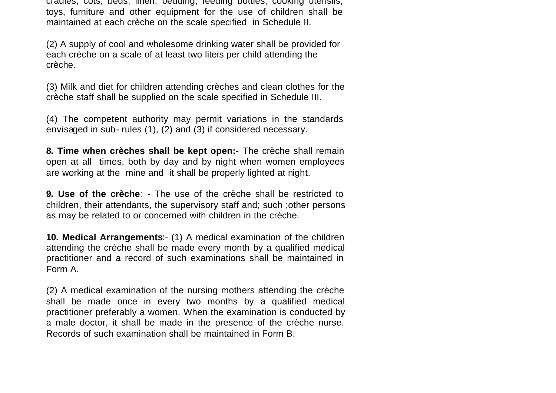cradles, cots, beds, linen, bedding, feeding bottles, cooking utensils, toys, furniture and other equipment for the use of children shall be maintained at each crèche on the scale specified in Schedule II.

(2) A supply of cool and wholesome drinking water shall be provided for each crèche on a scale of at least two liters per child attending the crèche.

(3) Milk and diet for children attending crèches and clean clothes for the crèche staff shall be supplied on the scale specified in Schedule III.

(4) The competent authority may permit variations in the standards envisaged in sub- rules (1), (2) and (3) if considered necessary.

**8. Time when crèches shall be kept open:-** The crèche shall remain open at all times, both by day and by night when women employees are working at the mine and it shall be properly lighted at night.

**9. Use of the crèche**: - The use of the crèche shall be restricted to children, their attendants, the supervisory staff and; such ;other persons as may be related to or concerned with children in the crèche.

**10. Medical Arrangements**:- (1) A medical examination of the children attending the crèche shall be made every month by a qualified medical practitioner and a record of such examinations shall be maintained in Form A.

(2) A medical examination of the nursing mothers attending the crèche shall be made once in every two months by a qualified medical practitioner preferably a women. When the examination is conducted by a male doctor, it shall be made in the presence of the crèche nurse. Records of such examination shall be maintained in Form B.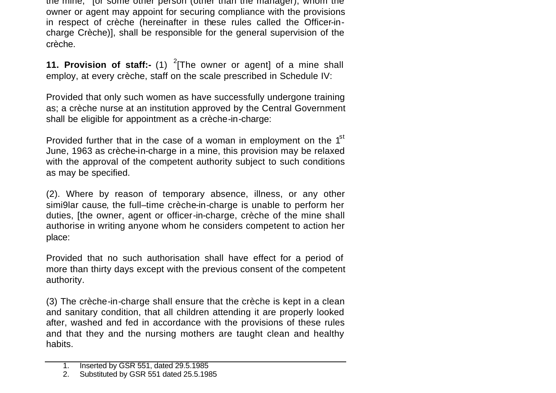the mine, <sup>1</sup> [or some other person (other than the manager), whom the owner or agent may appoint for securing compliance with the provisions in respect of crèche (hereinafter in these rules called the Officer-incharge Crèche)], shall be responsible for the general supervision of the crèche.

**11. Provision of staff:-** (1) <sup>2</sup>[The owner or agent] of a mine shall employ, at every crèche, staff on the scale prescribed in Schedule IV:

Provided that only such women as have successfully undergone training as; a crèche nurse at an institution approved by the Central Government shall be eligible for appointment as a crèche-in-charge:

Provided further that in the case of a woman in employment on the  $1<sup>st</sup>$ June, 1963 as crèche-in-charge in a mine, this provision may be relaxed with the approval of the competent authority subject to such conditions as may be specified.

(2). Where by reason of temporary absence, illness, or any other simi9lar cause, the full–time crèche-in-charge is unable to perform her duties, [the owner, agent or officer-in-charge, crèche of the mine shall authorise in writing anyone whom he considers competent to action her place:

Provided that no such authorisation shall have effect for a period of more than thirty days except with the previous consent of the competent authority.

(3) The crèche-in-charge shall ensure that the crèche is kept in a clean and sanitary condition, that all children attending it are properly looked after, washed and fed in accordance with the provisions of these rules and that they and the nursing mothers are taught clean and healthy habits.

<sup>1.</sup> Inserted by GSR 551, dated 29.5.1985

<sup>2.</sup> Substituted by GSR 551 dated 25.5.1985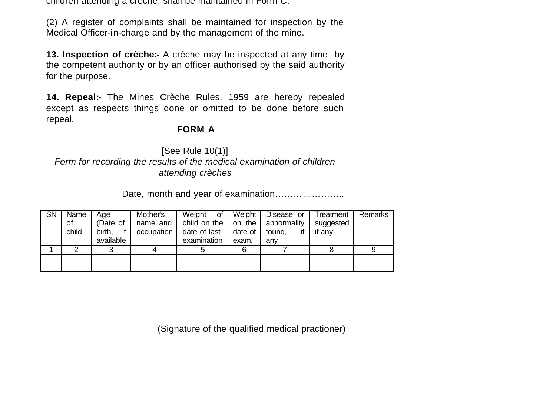children attending a creche, shall be maintained in Form C.

(2) A register of complaints shall be maintained for inspection by the Medical Officer-in-charge and by the management of the mine.

**13. Inspection of crèche:-** A crèche may be inspected at any time by the competent authority or by an officer authorised by the said authority for the purpose.

**14. Repeal:-** The Mines Crèche Rules, 1959 are hereby repealed except as respects things done or omitted to be done before such repeal.

#### **FORM A**

[See Rule 10(1)] *Form for recording the results of the medical examination of children attending crèches*

Date, month and year of examination…………………..

| <b>SN</b> | Name  | Age       | Mother's     | Weight<br>of I                      | Weight  | Disease or | Treatment | Remarks |
|-----------|-------|-----------|--------------|-------------------------------------|---------|------------|-----------|---------|
|           | οf    | (Date of  | name and I   | child on the   on the   abnormality |         |            | suggested |         |
|           | child | birth. if | occupation I | date of last                        | date of | found.     | if anv.   |         |
|           |       | available |              | examination                         | exam.   | anv        |           |         |
|           |       |           |              |                                     |         |            |           |         |
|           |       |           |              |                                     |         |            |           |         |
|           |       |           |              |                                     |         |            |           |         |

(Signature of the qualified medical practioner)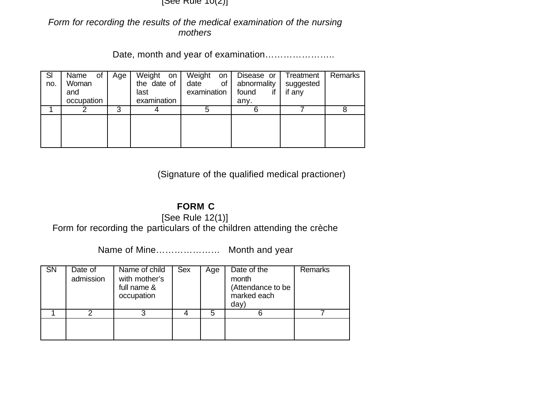$|Set$  Rule  $|U(Z)|$ 

*Form for recording the results of the medical examination of the nursing mothers*

Date, month and year of examination…………………..

| SI<br>no. | of<br>Name<br>Woman<br>and<br>occupation | Age | Weight<br>on<br>the date of<br>last<br>examination | Weight<br>on<br>date<br>οf<br>examination | Disease or<br>abnormality<br>found<br>any. | Treatment<br>suggested<br>if any | Remarks |
|-----------|------------------------------------------|-----|----------------------------------------------------|-------------------------------------------|--------------------------------------------|----------------------------------|---------|
|           |                                          | ິ   |                                                    |                                           |                                            |                                  |         |
|           |                                          |     |                                                    |                                           |                                            |                                  |         |

(Signature of the qualified medical practioner)

# **FORM C**

[See Rule 12(1)]

Form for recording the particulars of the children attending the crèche

Name of Mine………………… Month and year

| $\overline{S}N$ | Date of<br>admission | Name of child<br>with mother's<br>full name &<br>occupation | Sex | Age | Date of the<br>month<br>(Attendance to be<br>marked each<br>day' | Remarks |
|-----------------|----------------------|-------------------------------------------------------------|-----|-----|------------------------------------------------------------------|---------|
|                 |                      |                                                             |     | 5   |                                                                  |         |
|                 |                      |                                                             |     |     |                                                                  |         |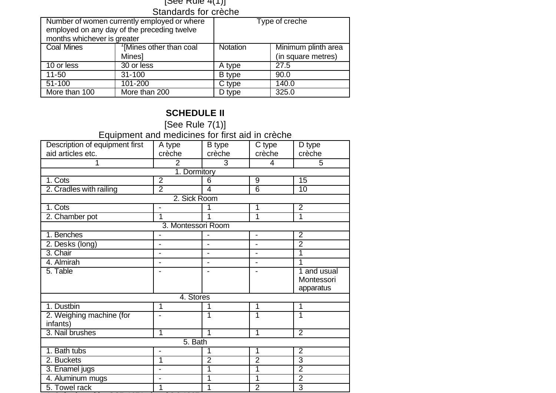#### [See Rule 4(1)] Standards for crèche

| months whichever is greater | Number of women currently employed or where<br>employed on any day of the preceding twelve |          | Type of creche      |  |  |  |  |
|-----------------------------|--------------------------------------------------------------------------------------------|----------|---------------------|--|--|--|--|
| <b>Coal Mines</b>           | <sup>1</sup> [Mines other than coal                                                        | Notation | Minimum plinth area |  |  |  |  |
|                             | <b>Mines1</b>                                                                              |          | (in square metres)  |  |  |  |  |
| 10 or less                  | 30 or less                                                                                 | A type   | 27.5                |  |  |  |  |
| 11-50                       | $31 - 100$                                                                                 | B type   | 90.0                |  |  |  |  |
| $51-100$                    | 101-200                                                                                    | C type   | 140.0               |  |  |  |  |
| More than 100               | More than 200                                                                              | D type   | 325.0               |  |  |  |  |

# **SCHEDULE II**

[See Rule 7(1)] Equipment and medicines for first aid in crèche

| Description of equipment first       | A type             | B type         | C type         | D type                                 |  |  |  |
|--------------------------------------|--------------------|----------------|----------------|----------------------------------------|--|--|--|
| aid articles etc.                    | crèche             | crèche         | crèche         | crèche                                 |  |  |  |
|                                      | $\overline{2}$     | 3              | 4              | 5                                      |  |  |  |
|                                      | 1. Dormitory       |                |                |                                        |  |  |  |
| 1. Cots                              | $\overline{2}$     | 6              | 9              | 15                                     |  |  |  |
| 2. Cradles with railing              | 2                  | 4              | 6              | 10                                     |  |  |  |
|                                      | 2. Sick Room       |                |                |                                        |  |  |  |
| 1. Cots                              |                    |                | 1              | $\overline{2}$                         |  |  |  |
| 2. Chamber pot                       | 1                  |                | 1              | 1                                      |  |  |  |
|                                      | 3. Montessori Room |                |                |                                        |  |  |  |
| 1. Benches                           |                    |                | $\blacksquare$ | 2                                      |  |  |  |
| 2. Desks (long)                      |                    |                |                | $\overline{2}$                         |  |  |  |
| 3. Chair                             | -                  | $\blacksquare$ | $\blacksquare$ | 1                                      |  |  |  |
| 4. Almirah                           | $\overline{a}$     | ۰              | $\blacksquare$ | 1                                      |  |  |  |
| 5. Table                             |                    |                |                | 1 and usual<br>Montessori<br>apparatus |  |  |  |
|                                      | 4. Stores          |                |                |                                        |  |  |  |
| 1. Dustbin                           | 1                  |                | 1              | 1                                      |  |  |  |
| 2. Weighing machine (for<br>infants) |                    | 1              | 1              | 1                                      |  |  |  |
| 3. Nail brushes                      | 1                  | 1              | 1              | $\overline{2}$                         |  |  |  |
| 5. Bath                              |                    |                |                |                                        |  |  |  |
| 1. Bath tubs                         | $\overline{a}$     | 1              | 1              | $\overline{2}$                         |  |  |  |
| 2. Buckets                           | 1                  | $\overline{2}$ | $\overline{2}$ | 3                                      |  |  |  |
| 3. Enamel jugs                       |                    | 1              | 1              | $\overline{2}$                         |  |  |  |
| 4. Aluminum mugs                     | -                  | 1              | 1              | $\overline{2}$                         |  |  |  |
| 5. Towel rack                        | 1                  |                | $\overline{2}$ | 3                                      |  |  |  |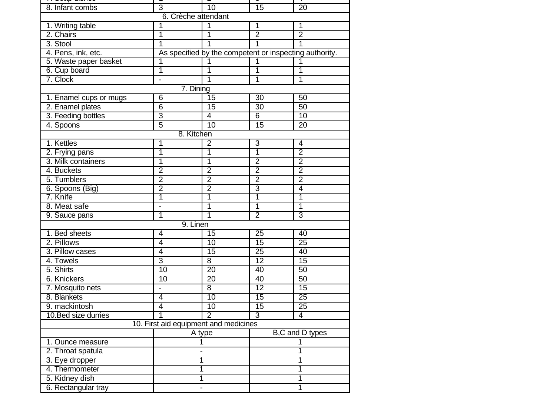| <del>n ooup alonoo</del> |                                       |                 |                                                        |                 |  |  |  |  |
|--------------------------|---------------------------------------|-----------------|--------------------------------------------------------|-----------------|--|--|--|--|
| 8. Infant combs          | 3                                     | $\overline{10}$ | $\overline{15}$                                        | $\overline{20}$ |  |  |  |  |
|                          | 6. Crèche attendant                   |                 |                                                        |                 |  |  |  |  |
| 1. Writing table         | 1                                     | $\overline{1}$  | $\overline{1}$                                         | 1               |  |  |  |  |
| 2. Chairs                | 1                                     | 1               | $\overline{2}$                                         | $\overline{2}$  |  |  |  |  |
| 3. Stool                 | $\overline{1}$                        | $\mathbf{1}$    | 1                                                      | 1               |  |  |  |  |
| 4. Pens, ink, etc.       |                                       |                 | As specified by the competent or inspecting authority. |                 |  |  |  |  |
| 5. Waste paper basket    | 1                                     | $\mathbf 1$     | $\mathbf{1}$                                           | 1               |  |  |  |  |
| 6. Cup board             | 1                                     | 1               | $\overline{1}$                                         | 1               |  |  |  |  |
| 7. Clock                 | $\frac{1}{2}$                         | 1               | 1                                                      | 1               |  |  |  |  |
|                          | 7. Dining                             |                 |                                                        |                 |  |  |  |  |
| 1. Enamel cups or mugs   | 6                                     | $\overline{15}$ | 30                                                     | 50              |  |  |  |  |
| 2. Enamel plates         | $\overline{6}$                        | $\overline{15}$ | 30                                                     | 50              |  |  |  |  |
| 3. Feeding bottles       | $\overline{3}$                        | $\overline{4}$  | 6                                                      | 10              |  |  |  |  |
| 4. Spoons                | $\overline{5}$                        | 10              | $\overline{15}$                                        | 20              |  |  |  |  |
|                          | 8. Kitchen                            |                 |                                                        |                 |  |  |  |  |
| 1. Kettles               | 1                                     | $\overline{2}$  | 3                                                      | $\overline{4}$  |  |  |  |  |
| 2. Frying pans           | 1                                     | $\overline{1}$  | $\overline{1}$                                         | $\overline{2}$  |  |  |  |  |
| 3. Milk containers       | 1                                     | $\overline{1}$  | $\overline{2}$                                         | $\overline{2}$  |  |  |  |  |
| 4. Buckets               | 2                                     | $\overline{2}$  | $\overline{2}$                                         | $\overline{2}$  |  |  |  |  |
| 5. Tumblers              | $\overline{2}$                        | $\overline{2}$  | $\overline{2}$                                         | $\overline{2}$  |  |  |  |  |
| 6. Spoons (Big)          | $\overline{2}$                        | $\overline{2}$  | 3                                                      | $\overline{4}$  |  |  |  |  |
| 7. Knife                 | 1                                     | $\overline{1}$  | 1                                                      | $\overline{1}$  |  |  |  |  |
| 8. Meat safe             | $\overline{\phantom{0}}$              | 1               | 1                                                      | 1               |  |  |  |  |
| 9. Sauce pans            | $\overline{1}$                        | $\overline{1}$  | $\overline{2}$                                         | 3               |  |  |  |  |
|                          | 9. Linen                              |                 |                                                        |                 |  |  |  |  |
| 1. Bed sheets            | 4                                     | $\overline{15}$ | 25                                                     | 40              |  |  |  |  |
| 2. Pillows               | 4                                     | 10              | 15                                                     | 25              |  |  |  |  |
| 3. Pillow cases          | $\overline{4}$                        | 15              | 25                                                     | 40              |  |  |  |  |
| 4. Towels                | $\overline{3}$                        | 8               | $\overline{12}$                                        | 15              |  |  |  |  |
| 5. Shirts                | 10                                    | 20              | 40                                                     | 50              |  |  |  |  |
| 6. Knickers              | 10                                    | $\overline{20}$ | 40                                                     | 50              |  |  |  |  |
| 7. Mosquito nets         | $\overline{a}$                        | $\overline{8}$  | $\overline{12}$                                        | 15              |  |  |  |  |
| 8. Blankets              | 4                                     | 10              | 15                                                     | $\overline{25}$ |  |  |  |  |
| 9. mackintosh            | $\overline{4}$                        | $\overline{10}$ | 15                                                     | $\overline{25}$ |  |  |  |  |
| 10. Bed size durries     | 1                                     | $\overline{2}$  | $\overline{3}$                                         | $\overline{4}$  |  |  |  |  |
|                          | 10. First aid equipment and medicines |                 |                                                        |                 |  |  |  |  |
|                          | A type                                |                 |                                                        | B,C and D types |  |  |  |  |
| 1. Ounce measure         |                                       | 1               |                                                        | 1               |  |  |  |  |
| 2. Throat spatula        | -                                     |                 | 1                                                      |                 |  |  |  |  |
| 3. Eye dropper           | 1                                     |                 | 1                                                      |                 |  |  |  |  |
| 4. Thermometer           | 1                                     |                 | 1                                                      |                 |  |  |  |  |
| 5. Kidney dish           |                                       | 1               | 1                                                      |                 |  |  |  |  |
| 6. Rectangular tray      |                                       |                 | 1                                                      |                 |  |  |  |  |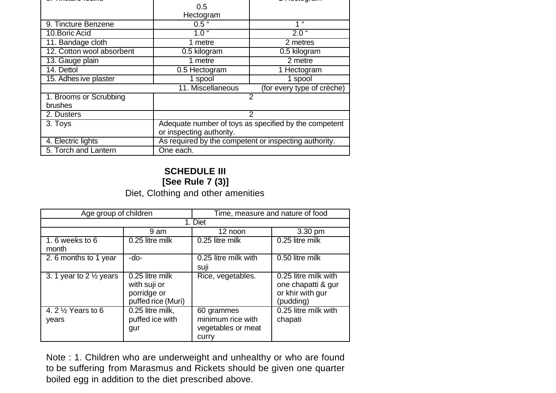|                           | 0.5                                                   |                            |  |  |
|---------------------------|-------------------------------------------------------|----------------------------|--|--|
|                           | Hectogram                                             |                            |  |  |
| 9. Tincture Benzene       | $0.5$ "                                               | $^{16}$<br>4               |  |  |
| 10. Boric Acid            | 1.0 <sup>1</sup>                                      | $2.0$ "                    |  |  |
| 11. Bandage cloth         | 1 metre                                               | 2 metres                   |  |  |
| 12. Cotton wool absorbent | 0.5 kilogram                                          | 0.5 kilogram               |  |  |
| 13. Gauge plain           | 1 metre                                               | 2 metre                    |  |  |
| 14. Dettol                | 0.5 Hectogram                                         | 1 Hectogram                |  |  |
| 15. Adhes ive plaster     | 1 spool                                               | 1 spool                    |  |  |
|                           | 11. Miscellaneous                                     | (for every type of crèche) |  |  |
| 1. Brooms or Scrubbing    |                                                       | 2                          |  |  |
| brushes                   |                                                       |                            |  |  |
| 2. Dusters                |                                                       | 2                          |  |  |
| 3. Toys                   | Adequate number of toys as specified by the competent |                            |  |  |
|                           | or inspecting authority.                              |                            |  |  |
| 4. Electric lights        | As required by the competent or inspecting authority. |                            |  |  |
| 5. Torch and Lantern      | One each.                                             |                            |  |  |

## **SCHEDULE III [See Rule 7 (3)]** Diet, Clothing and other amenities

| Age group of children                  |                                                                      | Time, measure and nature of food                               |                                                                             |  |
|----------------------------------------|----------------------------------------------------------------------|----------------------------------------------------------------|-----------------------------------------------------------------------------|--|
|                                        |                                                                      | 1. Diet                                                        |                                                                             |  |
|                                        | 9 am                                                                 | 12 noon                                                        | 3.30 pm                                                                     |  |
| 1.6 weeks to 6<br>month                | 0.25 litre milk                                                      | 0.25 litre milk                                                | 0.25 litre milk                                                             |  |
| 2.6 months to 1 year                   | -do-                                                                 | 0.25 litre milk with<br>suji                                   | 0.50 litre milk                                                             |  |
| 3. 1 year to 2 $\frac{1}{2}$ years     | 0.25 litre milk<br>with suji or<br>porridge or<br>puffed rice (Muri) | Rice, vegetables.                                              | 0.25 litre milk with<br>one chapatti & gur<br>or khir with gur<br>(pudding) |  |
| 4. 2 $\frac{1}{2}$ Years to 6<br>years | 0.25 litre milk,<br>puffed ice with<br>gur                           | 60 grammes<br>minimum rice with<br>vegetables or meat<br>curry | 0.25 litre milk with<br>chapati                                             |  |

Note : 1. Children who are underweight and unhealthy or who are found to be suffering from Marasmus and Rickets should be given one quarter boiled egg in addition to the diet prescribed above.